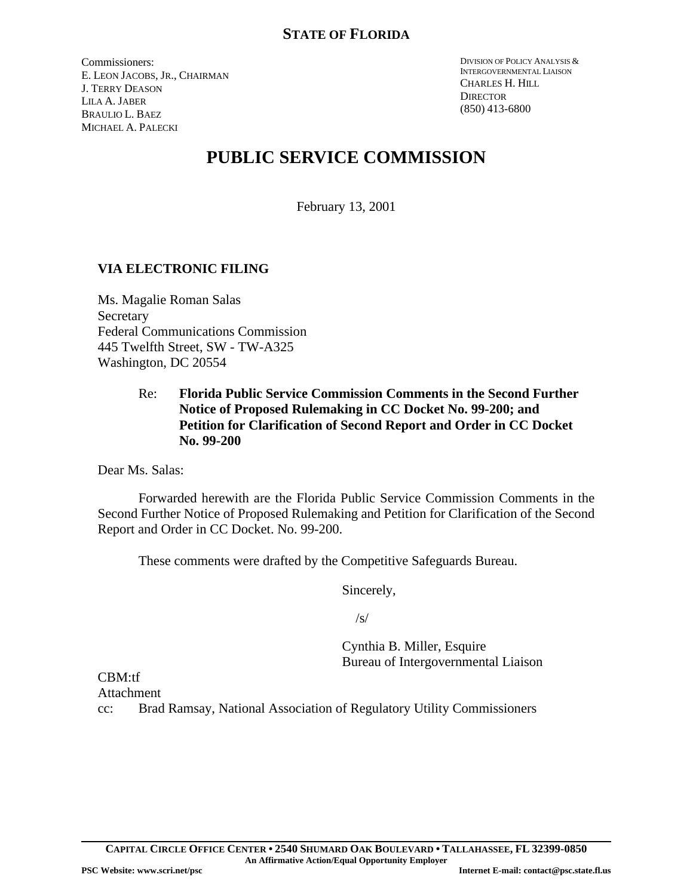Commissioners: E. LEON JACOBS, JR., CHAIRMAN J. TERRY DEASON LILA A. JABER BRAULIO L. BAEZ MICHAEL A. PALECKI

DIVISION OF POLICY ANALYSIS & INTERGOVERNMENTAL LIAISON CHARLES H. HILL **DIRECTOR** (850) 413-6800

# **PUBLIC SERVICE COMMISSION**

February 13, 2001

# **VIA ELECTRONIC FILING**

Ms. Magalie Roman Salas Secretary Federal Communications Commission 445 Twelfth Street, SW - TW-A325 Washington, DC 20554

# Re: **Florida Public Service Commission Comments in the Second Further Notice of Proposed Rulemaking in CC Docket No. 99-200; and Petition for Clarification of Second Report and Order in CC Docket No. 99-200**

Dear Ms. Salas:

Forwarded herewith are the Florida Public Service Commission Comments in the Second Further Notice of Proposed Rulemaking and Petition for Clarification of the Second Report and Order in CC Docket. No. 99-200.

These comments were drafted by the Competitive Safeguards Bureau.

Sincerely,

 $/s/$ 

Cynthia B. Miller, Esquire Bureau of Intergovernmental Liaison

CBM:tf **Attachment** 

cc: Brad Ramsay, National Association of Regulatory Utility Commissioners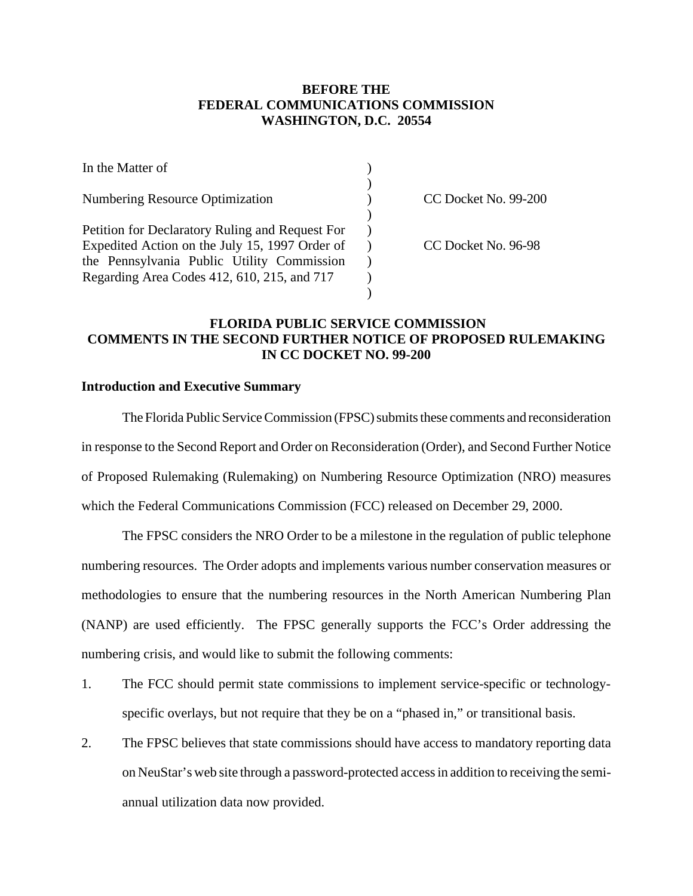## **BEFORE THE FEDERAL COMMUNICATIONS COMMISSION WASHINGTON, D.C. 20554**

| In the Matter of                                |                      |
|-------------------------------------------------|----------------------|
| <b>Numbering Resource Optimization</b>          | CC Docket No. 99-200 |
|                                                 |                      |
| Petition for Declaratory Ruling and Request For |                      |
| Expedited Action on the July 15, 1997 Order of  | CC Docket No. 96-98  |
| the Pennsylvania Public Utility Commission      |                      |
| Regarding Area Codes 412, 610, 215, and 717     |                      |
|                                                 |                      |

# **FLORIDA PUBLIC SERVICE COMMISSION COMMENTS IN THE SECOND FURTHER NOTICE OF PROPOSED RULEMAKING IN CC DOCKET NO. 99-200**

#### **Introduction and Executive Summary**

The Florida Public Service Commission (FPSC) submits these comments and reconsideration in response to the Second Report and Order on Reconsideration (Order), and Second Further Notice of Proposed Rulemaking (Rulemaking) on Numbering Resource Optimization (NRO) measures which the Federal Communications Commission (FCC) released on December 29, 2000.

The FPSC considers the NRO Order to be a milestone in the regulation of public telephone numbering resources. The Order adopts and implements various number conservation measures or methodologies to ensure that the numbering resources in the North American Numbering Plan (NANP) are used efficiently. The FPSC generally supports the FCC's Order addressing the numbering crisis, and would like to submit the following comments:

- 1. The FCC should permit state commissions to implement service-specific or technologyspecific overlays, but not require that they be on a "phased in," or transitional basis.
- 2. The FPSC believes that state commissions should have access to mandatory reporting data on NeuStar's web site through a password-protected accessin addition to receiving the semiannual utilization data now provided.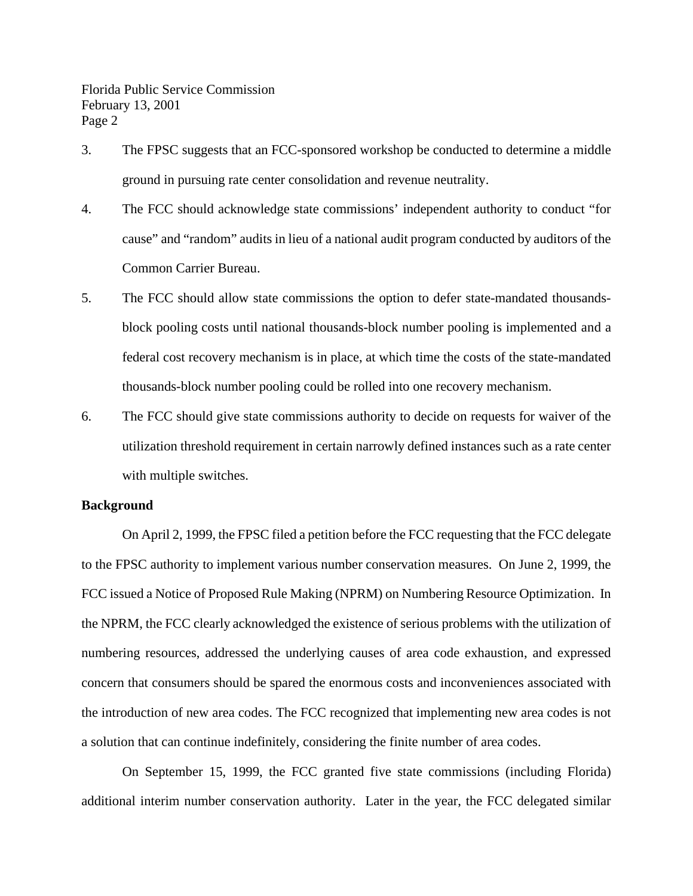- 3. The FPSC suggests that an FCC-sponsored workshop be conducted to determine a middle ground in pursuing rate center consolidation and revenue neutrality.
- 4. The FCC should acknowledge state commissions' independent authority to conduct "for cause" and "random" audits in lieu of a national audit program conducted by auditors of the Common Carrier Bureau.
- 5. The FCC should allow state commissions the option to defer state-mandated thousandsblock pooling costs until national thousands-block number pooling is implemented and a federal cost recovery mechanism is in place, at which time the costs of the state-mandated thousands-block number pooling could be rolled into one recovery mechanism.
- 6. The FCC should give state commissions authority to decide on requests for waiver of the utilization threshold requirement in certain narrowly defined instances such as a rate center with multiple switches.

#### **Background**

On April 2, 1999, the FPSC filed a petition before the FCC requesting that the FCC delegate to the FPSC authority to implement various number conservation measures. On June 2, 1999, the FCC issued a Notice of Proposed Rule Making (NPRM) on Numbering Resource Optimization. In the NPRM, the FCC clearly acknowledged the existence of serious problems with the utilization of numbering resources, addressed the underlying causes of area code exhaustion, and expressed concern that consumers should be spared the enormous costs and inconveniences associated with the introduction of new area codes. The FCC recognized that implementing new area codes is not a solution that can continue indefinitely, considering the finite number of area codes.

On September 15, 1999, the FCC granted five state commissions (including Florida) additional interim number conservation authority. Later in the year, the FCC delegated similar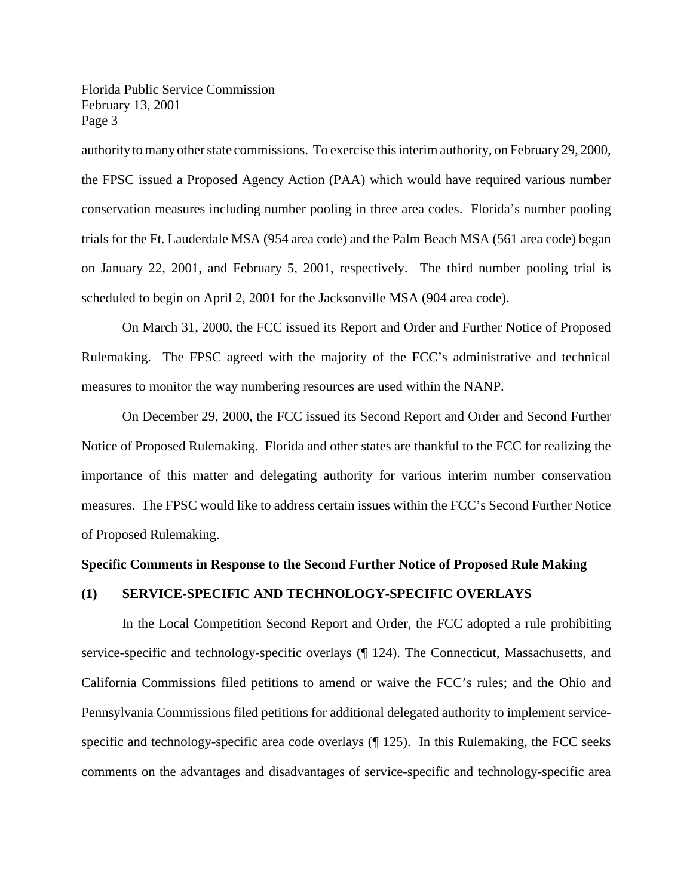authority to many other state commissions. To exercise this interim authority, on February 29, 2000, the FPSC issued a Proposed Agency Action (PAA) which would have required various number conservation measures including number pooling in three area codes. Florida's number pooling trials for the Ft. Lauderdale MSA (954 area code) and the Palm Beach MSA (561 area code) began on January 22, 2001, and February 5, 2001, respectively. The third number pooling trial is scheduled to begin on April 2, 2001 for the Jacksonville MSA (904 area code).

On March 31, 2000, the FCC issued its Report and Order and Further Notice of Proposed Rulemaking. The FPSC agreed with the majority of the FCC's administrative and technical measures to monitor the way numbering resources are used within the NANP.

On December 29, 2000, the FCC issued its Second Report and Order and Second Further Notice of Proposed Rulemaking. Florida and other states are thankful to the FCC for realizing the importance of this matter and delegating authority for various interim number conservation measures. The FPSC would like to address certain issues within the FCC's Second Further Notice of Proposed Rulemaking.

#### **Specific Comments in Response to the Second Further Notice of Proposed Rule Making**

#### **(1) SERVICE-SPECIFIC AND TECHNOLOGY-SPECIFIC OVERLAYS**

In the Local Competition Second Report and Order, the FCC adopted a rule prohibiting service-specific and technology-specific overlays (¶ 124). The Connecticut, Massachusetts, and California Commissions filed petitions to amend or waive the FCC's rules; and the Ohio and Pennsylvania Commissions filed petitions for additional delegated authority to implement servicespecific and technology-specific area code overlays (¶ 125). In this Rulemaking, the FCC seeks comments on the advantages and disadvantages of service-specific and technology-specific area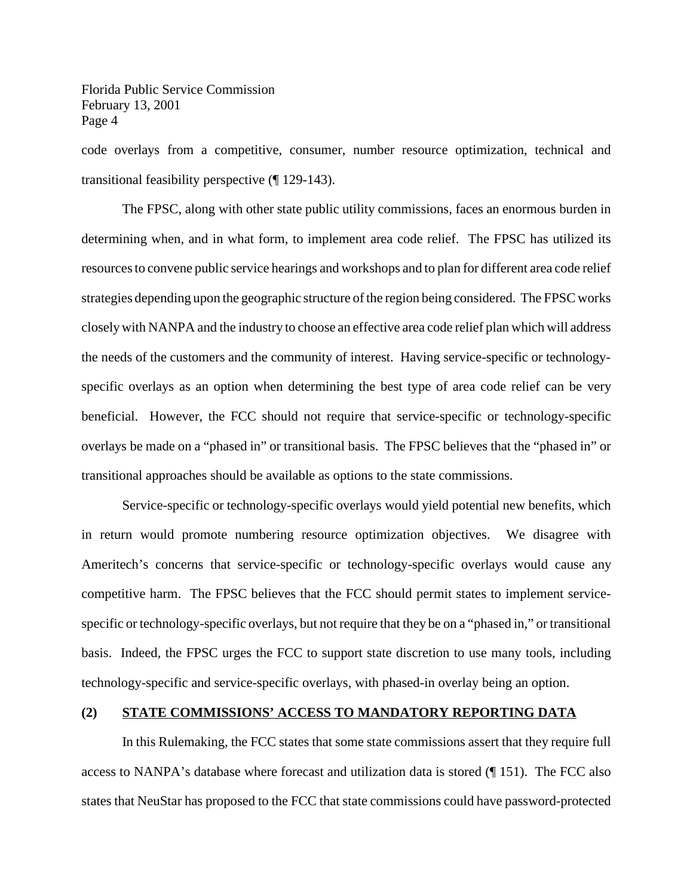code overlays from a competitive, consumer, number resource optimization, technical and transitional feasibility perspective (¶ 129-143).

The FPSC, along with other state public utility commissions, faces an enormous burden in determining when, and in what form, to implement area code relief. The FPSC has utilized its resourcesto convene public service hearings and workshops and to plan for different area code relief strategies depending upon the geographic structure of the region being considered. The FPSC works closelywith NANPA and the industry to choose an effective area code relief plan which will address the needs of the customers and the community of interest. Having service-specific or technologyspecific overlays as an option when determining the best type of area code relief can be very beneficial. However, the FCC should not require that service-specific or technology-specific overlays be made on a "phased in" or transitional basis. The FPSC believes that the "phased in" or transitional approaches should be available as options to the state commissions.

Service-specific or technology-specific overlays would yield potential new benefits, which in return would promote numbering resource optimization objectives. We disagree with Ameritech's concerns that service-specific or technology-specific overlays would cause any competitive harm. The FPSC believes that the FCC should permit states to implement servicespecific or technology-specific overlays, but not require that they be on a "phased in," or transitional basis. Indeed, the FPSC urges the FCC to support state discretion to use many tools, including technology-specific and service-specific overlays, with phased-in overlay being an option.

#### **(2) STATE COMMISSIONS' ACCESS TO MANDATORY REPORTING DATA**

In this Rulemaking, the FCC states that some state commissions assert that they require full access to NANPA's database where forecast and utilization data is stored (¶ 151). The FCC also states that NeuStar has proposed to the FCC that state commissions could have password-protected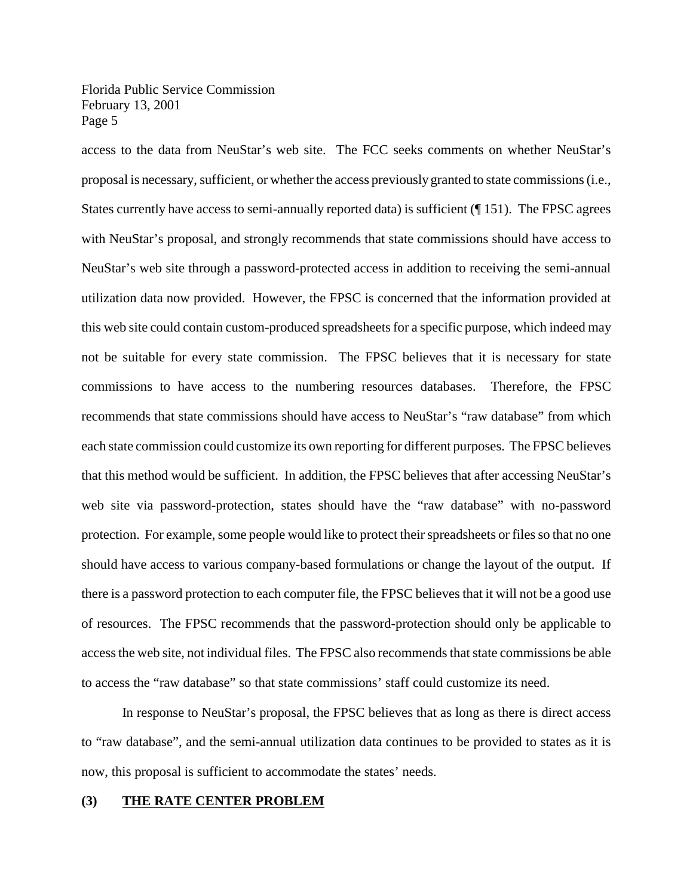access to the data from NeuStar's web site. The FCC seeks comments on whether NeuStar's proposal is necessary, sufficient, or whether the access previously granted to state commissions (i.e., States currently have access to semi-annually reported data) is sufficient (¶ 151). The FPSC agrees with NeuStar's proposal, and strongly recommends that state commissions should have access to NeuStar's web site through a password-protected access in addition to receiving the semi-annual utilization data now provided. However, the FPSC is concerned that the information provided at this web site could contain custom-produced spreadsheets for a specific purpose, which indeed may not be suitable for every state commission. The FPSC believes that it is necessary for state commissions to have access to the numbering resources databases. Therefore, the FPSC recommends that state commissions should have access to NeuStar's "raw database" from which each state commission could customize its own reporting for different purposes. The FPSC believes that this method would be sufficient. In addition, the FPSC believes that after accessing NeuStar's web site via password-protection, states should have the "raw database" with no-password protection. For example, some people would like to protect their spreadsheets or files so that no one should have access to various company-based formulations or change the layout of the output. If there is a password protection to each computer file, the FPSC believes that it will not be a good use of resources. The FPSC recommends that the password-protection should only be applicable to accessthe web site, not individual files. The FPSC also recommends that state commissions be able to access the "raw database" so that state commissions' staff could customize its need.

In response to NeuStar's proposal, the FPSC believes that as long as there is direct access to "raw database", and the semi-annual utilization data continues to be provided to states as it is now, this proposal is sufficient to accommodate the states' needs.

#### **(3) THE RATE CENTER PROBLEM**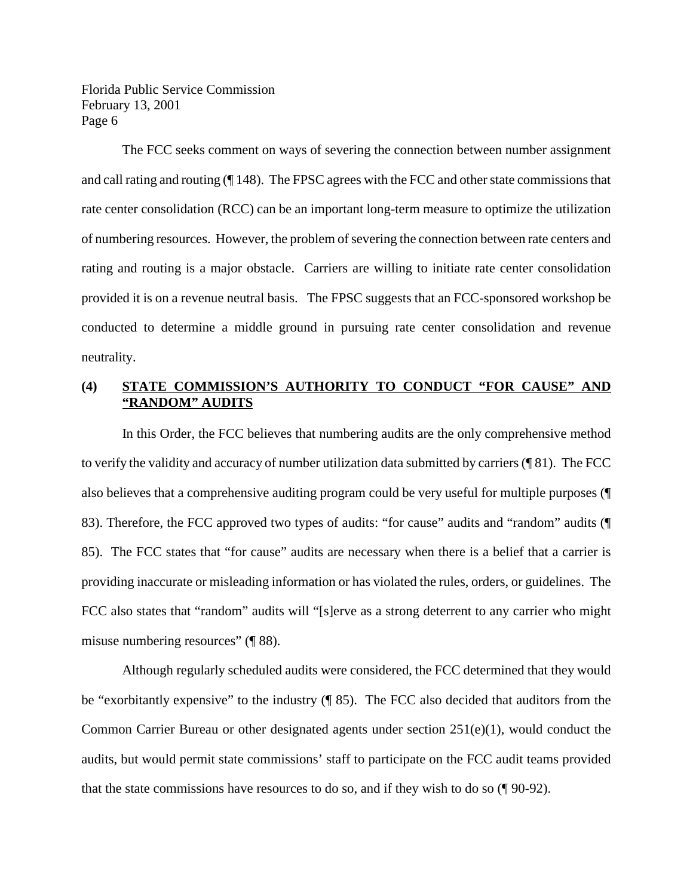The FCC seeks comment on ways of severing the connection between number assignment and call rating and routing (¶ 148). The FPSC agrees with the FCC and other state commissions that rate center consolidation (RCC) can be an important long-term measure to optimize the utilization of numbering resources. However, the problem of severing the connection between rate centers and rating and routing is a major obstacle. Carriers are willing to initiate rate center consolidation provided it is on a revenue neutral basis. The FPSC suggests that an FCC-sponsored workshop be conducted to determine a middle ground in pursuing rate center consolidation and revenue neutrality.

# **(4) STATE COMMISSION'S AUTHORITY TO CONDUCT "FOR CAUSE" AND "RANDOM" AUDITS**

In this Order, the FCC believes that numbering audits are the only comprehensive method to verify the validity and accuracy of number utilization data submitted by carriers (¶ 81). The FCC also believes that a comprehensive auditing program could be very useful for multiple purposes (¶ 83). Therefore, the FCC approved two types of audits: "for cause" audits and "random" audits (¶ 85). The FCC states that "for cause" audits are necessary when there is a belief that a carrier is providing inaccurate or misleading information or has violated the rules, orders, or guidelines. The FCC also states that "random" audits will "[s]erve as a strong deterrent to any carrier who might misuse numbering resources" (¶ 88).

Although regularly scheduled audits were considered, the FCC determined that they would be "exorbitantly expensive" to the industry (¶ 85). The FCC also decided that auditors from the Common Carrier Bureau or other designated agents under section  $251(e)(1)$ , would conduct the audits, but would permit state commissions' staff to participate on the FCC audit teams provided that the state commissions have resources to do so, and if they wish to do so (¶ 90-92).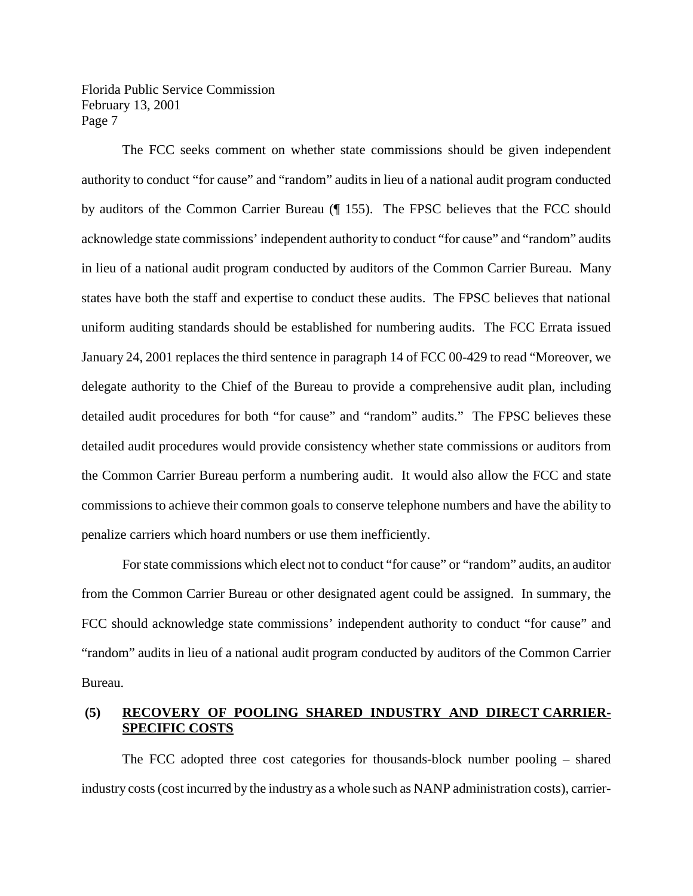The FCC seeks comment on whether state commissions should be given independent authority to conduct "for cause" and "random" audits in lieu of a national audit program conducted by auditors of the Common Carrier Bureau (¶ 155). The FPSC believes that the FCC should acknowledge state commissions' independent authority to conduct "for cause" and "random" audits in lieu of a national audit program conducted by auditors of the Common Carrier Bureau. Many states have both the staff and expertise to conduct these audits. The FPSC believes that national uniform auditing standards should be established for numbering audits. The FCC Errata issued January 24, 2001 replaces the third sentence in paragraph 14 of FCC 00-429 to read "Moreover, we delegate authority to the Chief of the Bureau to provide a comprehensive audit plan, including detailed audit procedures for both "for cause" and "random" audits." The FPSC believes these detailed audit procedures would provide consistency whether state commissions or auditors from the Common Carrier Bureau perform a numbering audit. It would also allow the FCC and state commissions to achieve their common goals to conserve telephone numbers and have the ability to penalize carriers which hoard numbers or use them inefficiently.

For state commissions which elect not to conduct "for cause" or "random" audits, an auditor from the Common Carrier Bureau or other designated agent could be assigned. In summary, the FCC should acknowledge state commissions' independent authority to conduct "for cause" and "random" audits in lieu of a national audit program conducted by auditors of the Common Carrier Bureau.

## **(5) RECOVERY OF POOLING SHARED INDUSTRY AND DIRECT CARRIER-SPECIFIC COSTS**

The FCC adopted three cost categories for thousands-block number pooling – shared industry costs(cost incurred by the industry as a whole such as NANP administration costs), carrier-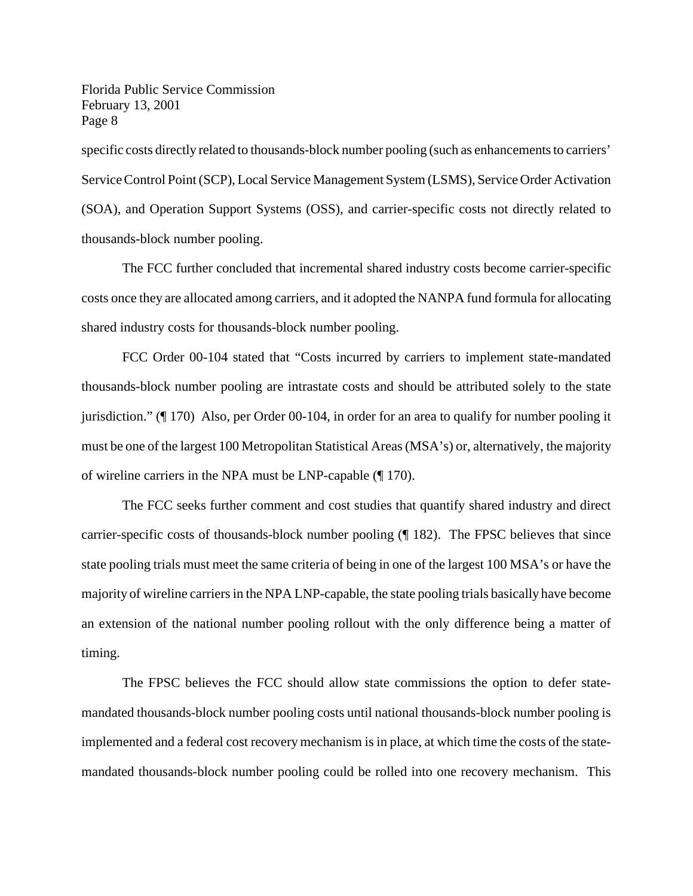specific costs directly related to thousands-block number pooling (such as enhancements to carriers' Service Control Point (SCP), Local Service Management System (LSMS), Service Order Activation (SOA), and Operation Support Systems (OSS), and carrier-specific costs not directly related to thousands-block number pooling.

The FCC further concluded that incremental shared industry costs become carrier-specific costs once they are allocated among carriers, and it adopted the NANPA fund formula for allocating shared industry costs for thousands-block number pooling.

FCC Order 00-104 stated that "Costs incurred by carriers to implement state-mandated thousands-block number pooling are intrastate costs and should be attributed solely to the state jurisdiction." (¶ 170) Also, per Order 00-104, in order for an area to qualify for number pooling it must be one of the largest 100 Metropolitan Statistical Areas(MSA's) or, alternatively, the majority of wireline carriers in the NPA must be LNP-capable (¶ 170).

The FCC seeks further comment and cost studies that quantify shared industry and direct carrier-specific costs of thousands-block number pooling (¶ 182). The FPSC believes that since state pooling trials must meet the same criteria of being in one of the largest 100 MSA's or have the majority of wireline carriersin the NPA LNP-capable, the state pooling trials basically have become an extension of the national number pooling rollout with the only difference being a matter of timing.

The FPSC believes the FCC should allow state commissions the option to defer statemandated thousands-block number pooling costs until national thousands-block number pooling is implemented and a federal cost recovery mechanism is in place, at which time the costs of the statemandated thousands-block number pooling could be rolled into one recovery mechanism. This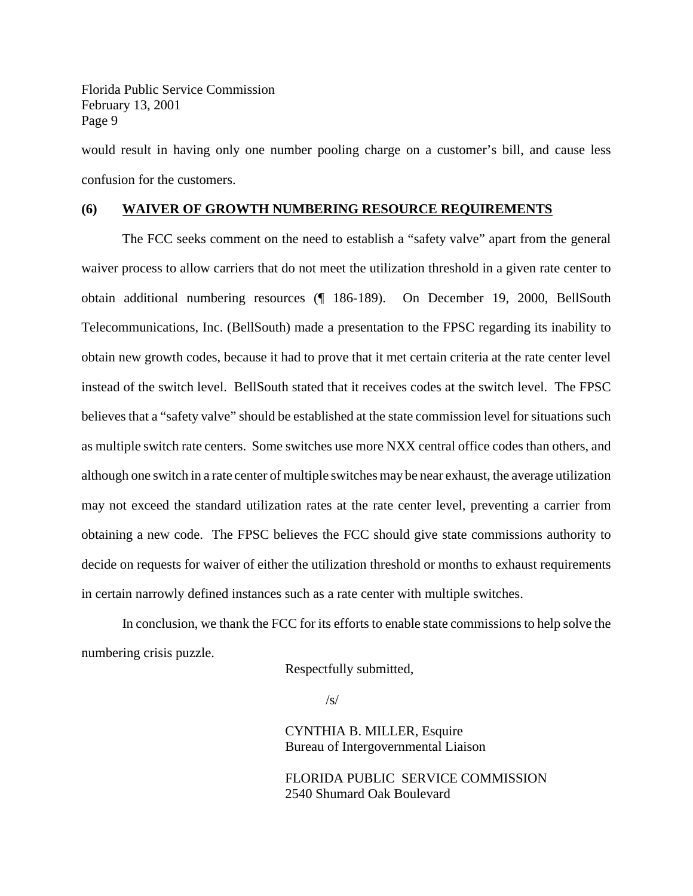would result in having only one number pooling charge on a customer's bill, and cause less confusion for the customers.

#### **(6) WAIVER OF GROWTH NUMBERING RESOURCE REQUIREMENTS**

The FCC seeks comment on the need to establish a "safety valve" apart from the general waiver process to allow carriers that do not meet the utilization threshold in a given rate center to obtain additional numbering resources (¶ 186-189). On December 19, 2000, BellSouth Telecommunications, Inc. (BellSouth) made a presentation to the FPSC regarding its inability to obtain new growth codes, because it had to prove that it met certain criteria at the rate center level instead of the switch level. BellSouth stated that it receives codes at the switch level. The FPSC believes that a "safety valve" should be established at the state commission level for situations such as multiple switch rate centers. Some switches use more NXX central office codes than others, and although one switch in a rate center of multiple switches may be near exhaust, the average utilization may not exceed the standard utilization rates at the rate center level, preventing a carrier from obtaining a new code. The FPSC believes the FCC should give state commissions authority to decide on requests for waiver of either the utilization threshold or months to exhaust requirements in certain narrowly defined instances such as a rate center with multiple switches.

In conclusion, we thank the FCC for its efforts to enable state commissions to help solve the numbering crisis puzzle.

Respectfully submitted,

 $/s/$ 

CYNTHIA B. MILLER, Esquire Bureau of Intergovernmental Liaison

FLORIDA PUBLIC SERVICE COMMISSION 2540 Shumard Oak Boulevard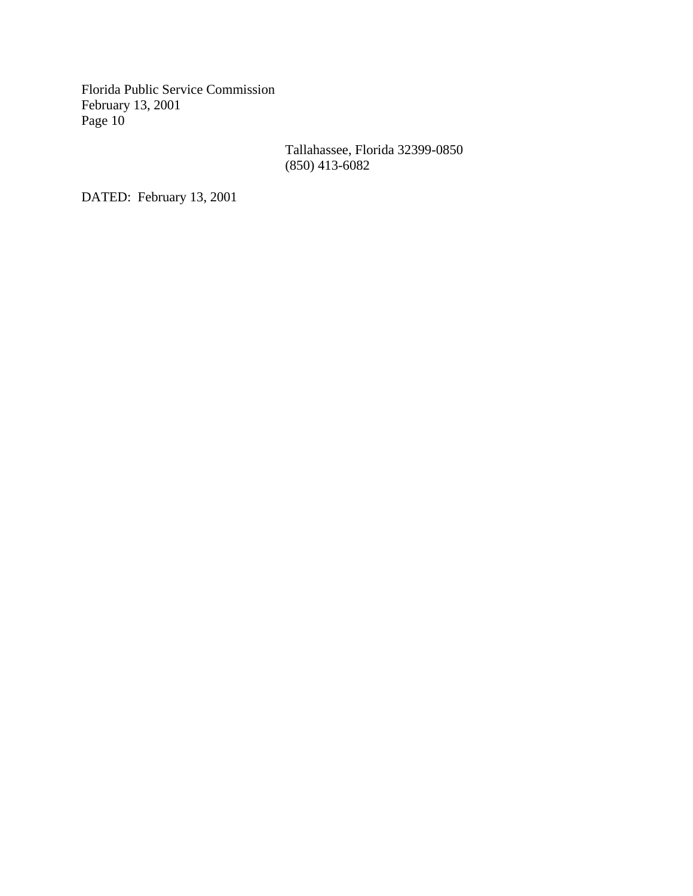> Tallahassee, Florida 32399-0850 (850) 413-6082

DATED: February 13, 2001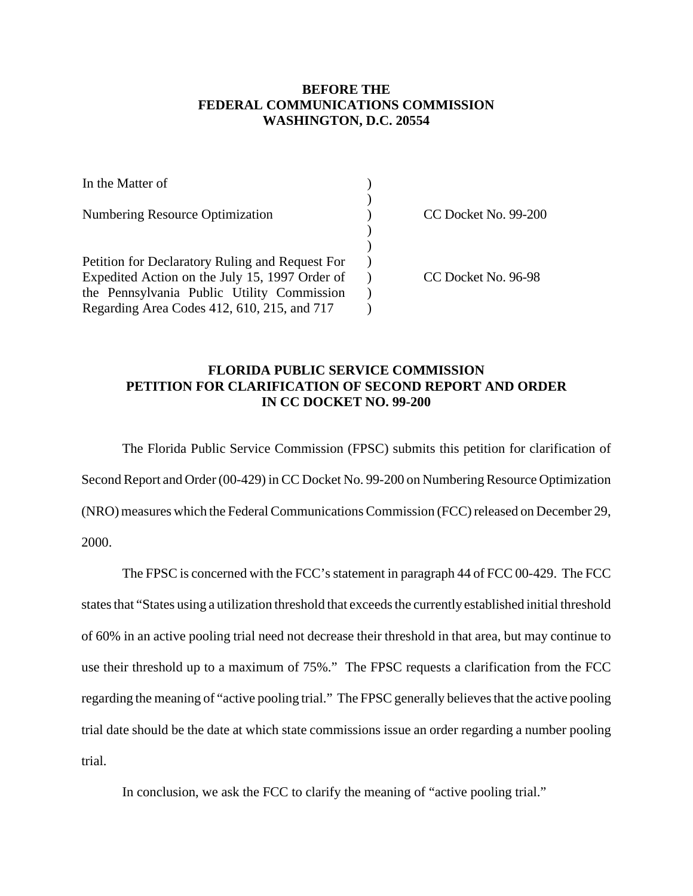# **BEFORE THE FEDERAL COMMUNICATIONS COMMISSION WASHINGTON, D.C. 20554**

| In the Matter of                                |                      |
|-------------------------------------------------|----------------------|
| <b>Numbering Resource Optimization</b>          | CC Docket No. 99-200 |
|                                                 |                      |
|                                                 |                      |
| Petition for Declaratory Ruling and Request For |                      |
| Expedited Action on the July 15, 1997 Order of  | CC Docket No. 96-98  |
| the Pennsylvania Public Utility Commission      |                      |
| Regarding Area Codes 412, 610, 215, and 717     |                      |

## **FLORIDA PUBLIC SERVICE COMMISSION PETITION FOR CLARIFICATION OF SECOND REPORT AND ORDER IN CC DOCKET NO. 99-200**

The Florida Public Service Commission (FPSC) submits this petition for clarification of Second Report and Order (00-429) in CC Docket No. 99-200 on Numbering Resource Optimization (NRO) measures which the Federal Communications Commission (FCC) released on December 29, 2000.

The FPSC is concerned with the FCC's statement in paragraph 44 of FCC 00-429. The FCC states that "States using a utilization threshold that exceeds the currently established initial threshold of 60% in an active pooling trial need not decrease their threshold in that area, but may continue to use their threshold up to a maximum of 75%." The FPSC requests a clarification from the FCC regarding the meaning of "active pooling trial." The FPSC generally believes that the active pooling trial date should be the date at which state commissions issue an order regarding a number pooling trial.

In conclusion, we ask the FCC to clarify the meaning of "active pooling trial."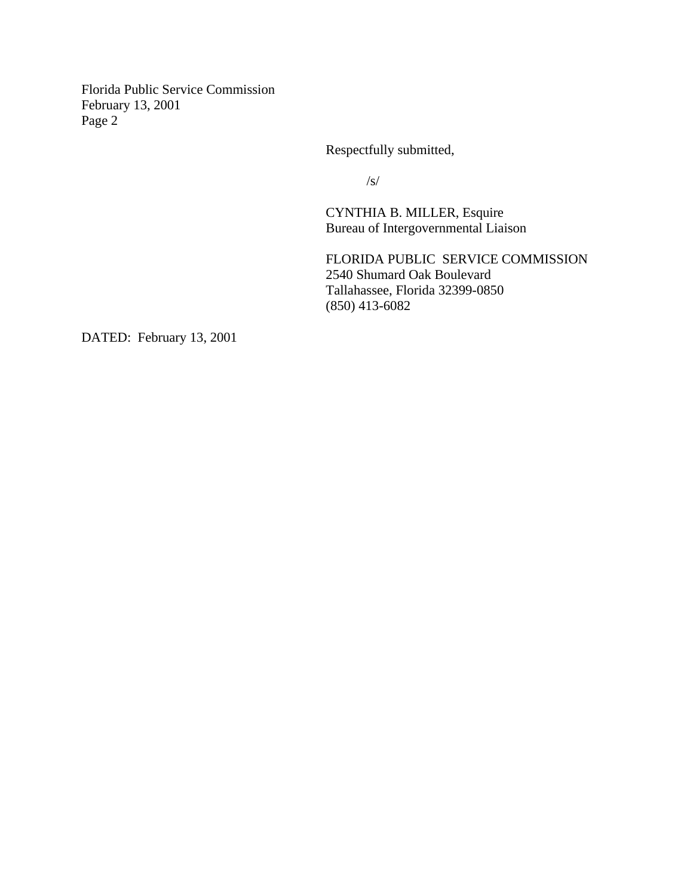Respectfully submitted,

/s/

CYNTHIA B. MILLER, Esquire Bureau of Intergovernmental Liaison

FLORIDA PUBLIC SERVICE COMMISSION 2540 Shumard Oak Boulevard Tallahassee, Florida 32399-0850 (850) 413-6082

DATED: February 13, 2001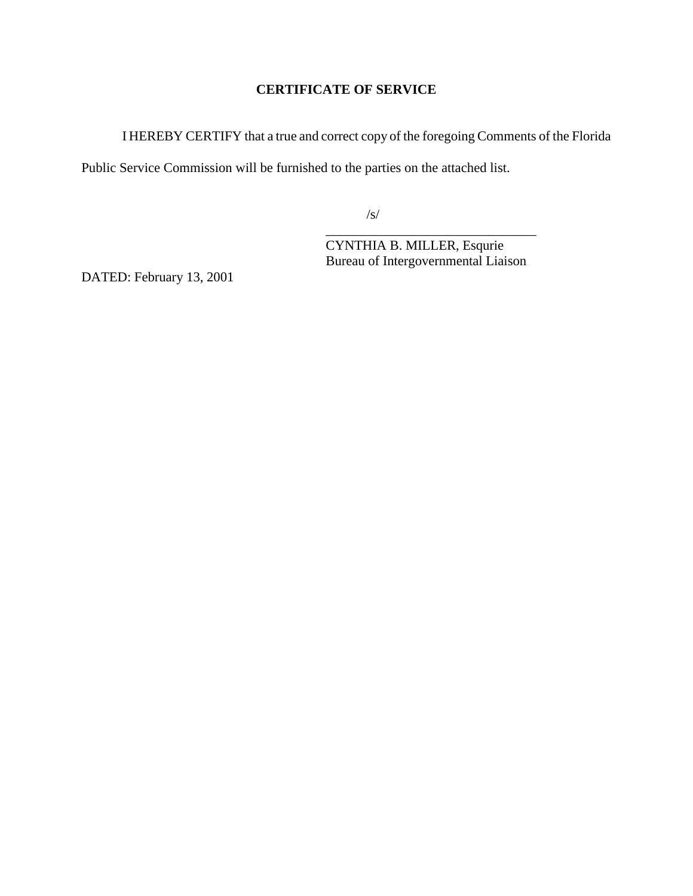# **CERTIFICATE OF SERVICE**

I HEREBY CERTIFY that a true and correct copy of the foregoing Comments of the Florida

Public Service Commission will be furnished to the parties on the attached list.

/s/

\_\_\_\_\_\_\_\_\_\_\_\_\_\_\_\_\_\_\_\_\_\_\_\_\_\_\_\_\_\_\_ CYNTHIA B. MILLER, Esqurie Bureau of Intergovernmental Liaison

DATED: February 13, 2001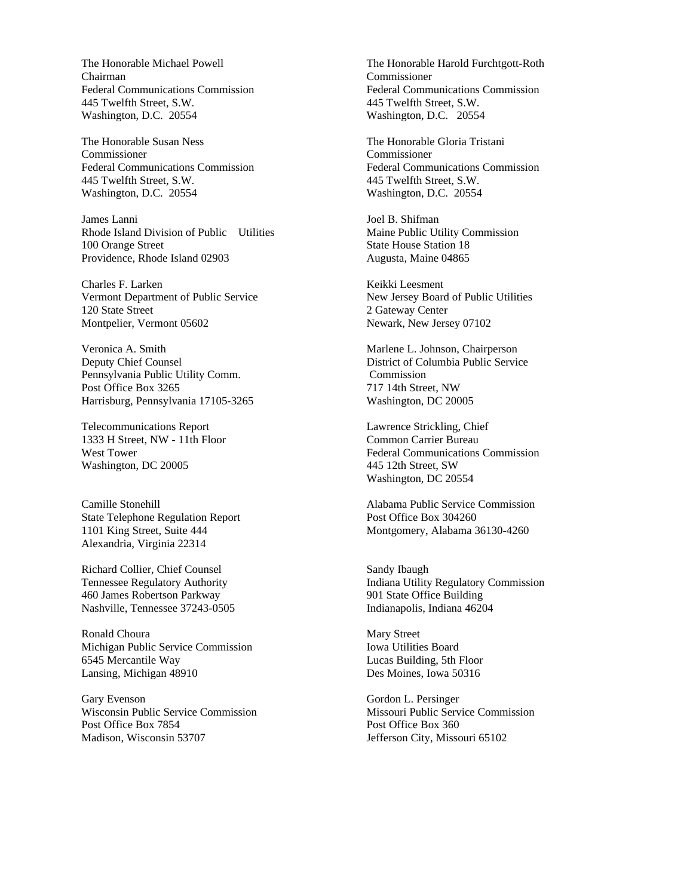The Honorable Michael Powell Chairman Federal Communications Commission 445 Twelfth Street, S.W. Washington, D.C. 20554

The Honorable Susan Ness Commissioner Federal Communications Commission 445 Twelfth Street, S.W. Washington, D.C. 20554

James Lanni Rhode Island Division of Public Utilities 100 Orange Street Providence, Rhode Island 02903

Charles F. Larken Vermont Department of Public Service 120 State Street Montpelier, Vermont 05602

Veronica A. Smith Deputy Chief Counsel Pennsylvania Public Utility Comm. Post Office Box 3265 Harrisburg, Pennsylvania 17105-3265

Telecommunications Report 1333 H Street, NW - 11th Floor West Tower Washington, DC 20005

Camille Stonehill State Telephone Regulation Report 1101 King Street, Suite 444 Alexandria, Virginia 22314

Richard Collier, Chief Counsel Tennessee Regulatory Authority 460 James Robertson Parkway Nashville, Tennessee 37243-0505

Ronald Choura Michigan Public Service Commission 6545 Mercantile Way Lansing, Michigan 48910

Gary Evenson Wisconsin Public Service Commission Post Office Box 7854 Madison, Wisconsin 53707

The Honorable Harold Furchtgott-Roth Commissioner Federal Communications Commission 445 Twelfth Street, S.W. Washington, D.C. 20554

The Honorable Gloria Tristani Commissioner Federal Communications Commission 445 Twelfth Street, S.W. Washington, D.C. 20554

Joel B. Shifman Maine Public Utility Commission State House Station 18 Augusta, Maine 04865

Keikki Leesment New Jersey Board of Public Utilities 2 Gateway Center Newark, New Jersey 07102

Marlene L. Johnson, Chairperson District of Columbia Public Service Commission 717 14th Street, NW Washington, DC 20005

Lawrence Strickling, Chief Common Carrier Bureau Federal Communications Commission 445 12th Street, SW Washington, DC 20554

Alabama Public Service Commission Post Office Box 304260 Montgomery, Alabama 36130-4260

Sandy Ibaugh Indiana Utility Regulatory Commission 901 State Office Building Indianapolis, Indiana 46204

Mary Street Iowa Utilities Board Lucas Building, 5th Floor Des Moines, Iowa 50316

Gordon L. Persinger Missouri Public Service Commission Post Office Box 360 Jefferson City, Missouri 65102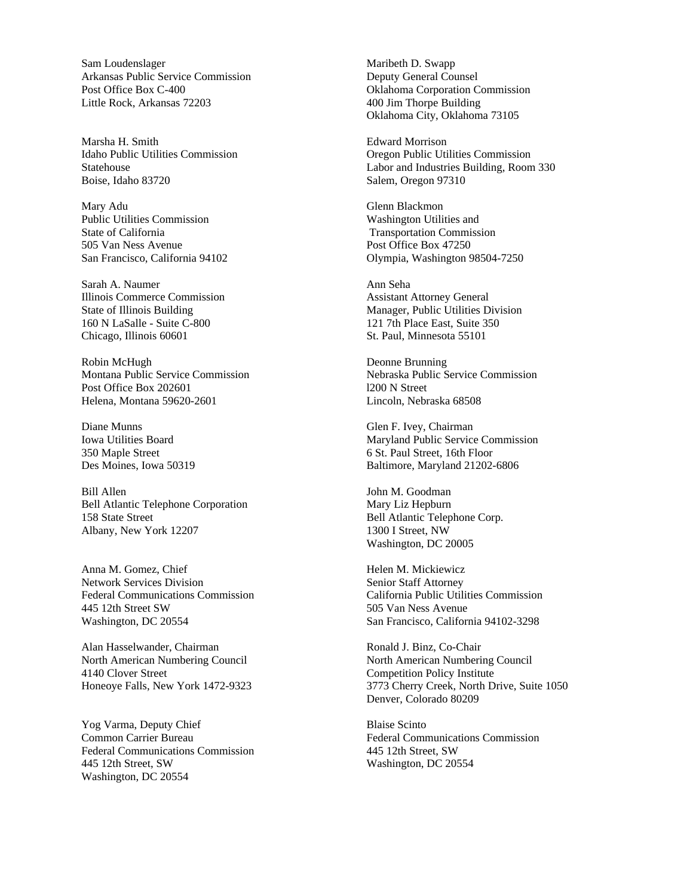Sam Loudenslager Arkansas Public Service Commission Post Office Box C-400 Little Rock, Arkansas 72203

Marsha H. Smith Idaho Public Utilities Commission Statehouse Boise, Idaho 83720

Mary Adu Public Utilities Commission State of California 505 Van Ness Avenue San Francisco, California 94102

Sarah A. Naumer Illinois Commerce Commission State of Illinois Building 160 N LaSalle - Suite C-800 Chicago, Illinois 60601

Robin McHugh Montana Public Service Commission Post Office Box 202601 Helena, Montana 59620-2601

Diane Munns Iowa Utilities Board 350 Maple Street Des Moines, Iowa 50319

Bill Allen Bell Atlantic Telephone Corporation 158 State Street Albany, New York 12207

Anna M. Gomez, Chief Network Services Division Federal Communications Commission 445 12th Street SW Washington, DC 20554

Alan Hasselwander, Chairman North American Numbering Council 4140 Clover Street Honeoye Falls, New York 1472-9323

Yog Varma, Deputy Chief Common Carrier Bureau Federal Communications Commission 445 12th Street, SW Washington, DC 20554

Maribeth D. Swapp Deputy General Counsel Oklahoma Corporation Commission 400 Jim Thorpe Building Oklahoma City, Oklahoma 73105

Edward Morrison Oregon Public Utilities Commission Labor and Industries Building, Room 330 Salem, Oregon 97310

Glenn Blackmon Washington Utilities and Transportation Commission Post Office Box 47250 Olympia, Washington 98504-7250

Ann Seha Assistant Attorney General Manager, Public Utilities Division 121 7th Place East, Suite 350 St. Paul, Minnesota 55101

Deonne Brunning Nebraska Public Service Commission l200 N Street Lincoln, Nebraska 68508

Glen F. Ivey, Chairman Maryland Public Service Commission 6 St. Paul Street, 16th Floor Baltimore, Maryland 21202-6806

John M. Goodman Mary Liz Hepburn Bell Atlantic Telephone Corp. 1300 I Street, NW Washington, DC 20005

Helen M. Mickiewicz Senior Staff Attorney California Public Utilities Commission 505 Van Ness Avenue San Francisco, California 94102-3298

Ronald J. Binz, Co-Chair North American Numbering Council Competition Policy Institute 3773 Cherry Creek, North Drive, Suite 1050 Denver, Colorado 80209

Blaise Scinto Federal Communications Commission 445 12th Street, SW Washington, DC 20554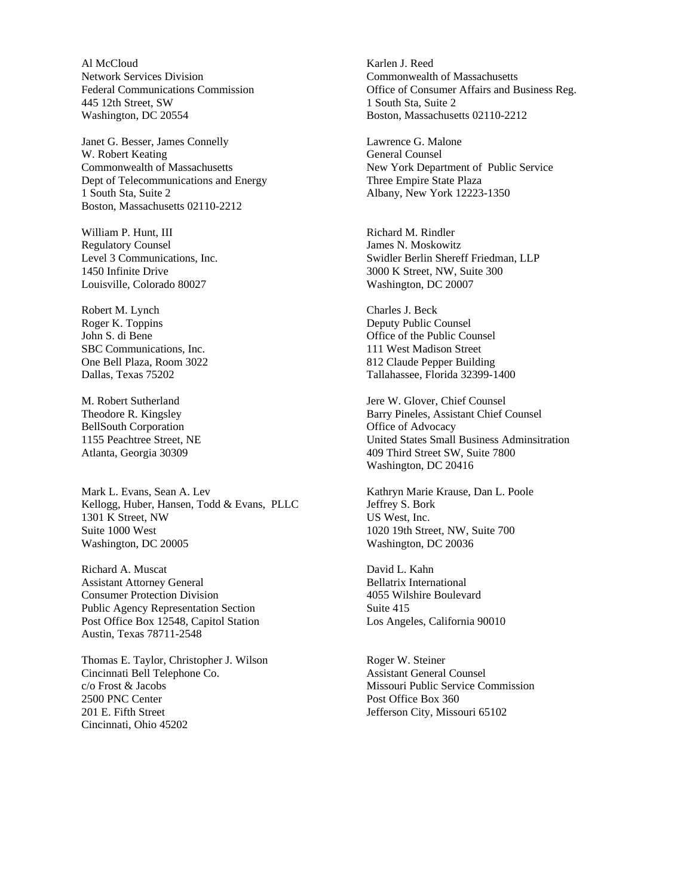Al McCloud Network Services Division Federal Communications Commission 445 12th Street, SW Washington, DC 20554

Janet G. Besser, James Connelly W. Robert Keating Commonwealth of Massachusetts Dept of Telecommunications and Energy 1 South Sta, Suite 2 Boston, Massachusetts 02110-2212

William P. Hunt, III Regulatory Counsel Level 3 Communications, Inc. 1450 Infinite Drive Louisville, Colorado 80027

Robert M. Lynch Roger K. Toppins John S. di Bene SBC Communications, Inc. One Bell Plaza, Room 3022 Dallas, Texas 75202

M. Robert Sutherland Theodore R. Kingsley BellSouth Corporation 1155 Peachtree Street, NE Atlanta, Georgia 30309

Mark L. Evans, Sean A. Lev Kellogg, Huber, Hansen, Todd & Evans, PLLC 1301 K Street, NW Suite 1000 West Washington, DC 20005

Richard A. Muscat Assistant Attorney General Consumer Protection Division Public Agency Representation Section Post Office Box 12548, Capitol Station Austin, Texas 78711-2548

Thomas E. Taylor, Christopher J. Wilson Cincinnati Bell Telephone Co. c/o Frost & Jacobs 2500 PNC Center 201 E. Fifth Street Cincinnati, Ohio 45202

Karlen J. Reed Commonwealth of Massachusetts Office of Consumer Affairs and Business Reg. 1 South Sta, Suite 2 Boston, Massachusetts 02110-2212

Lawrence G. Malone General Counsel New York Department of Public Service Three Empire State Plaza Albany, New York 12223-1350

Richard M. Rindler James N. Moskowitz Swidler Berlin Shereff Friedman, LLP 3000 K Street, NW, Suite 300 Washington, DC 20007

Charles J. Beck Deputy Public Counsel Office of the Public Counsel 111 West Madison Street 812 Claude Pepper Building Tallahassee, Florida 32399-1400

Jere W. Glover, Chief Counsel Barry Pineles, Assistant Chief Counsel Office of Advocacy United States Small Business Adminsitration 409 Third Street SW, Suite 7800 Washington, DC 20416

Kathryn Marie Krause, Dan L. Poole Jeffrey S. Bork US West, Inc. 1020 19th Street, NW, Suite 700 Washington, DC 20036

David L. Kahn Bellatrix International 4055 Wilshire Boulevard Suite 415 Los Angeles, California 90010

Roger W. Steiner Assistant General Counsel Missouri Public Service Commission Post Office Box 360 Jefferson City, Missouri 65102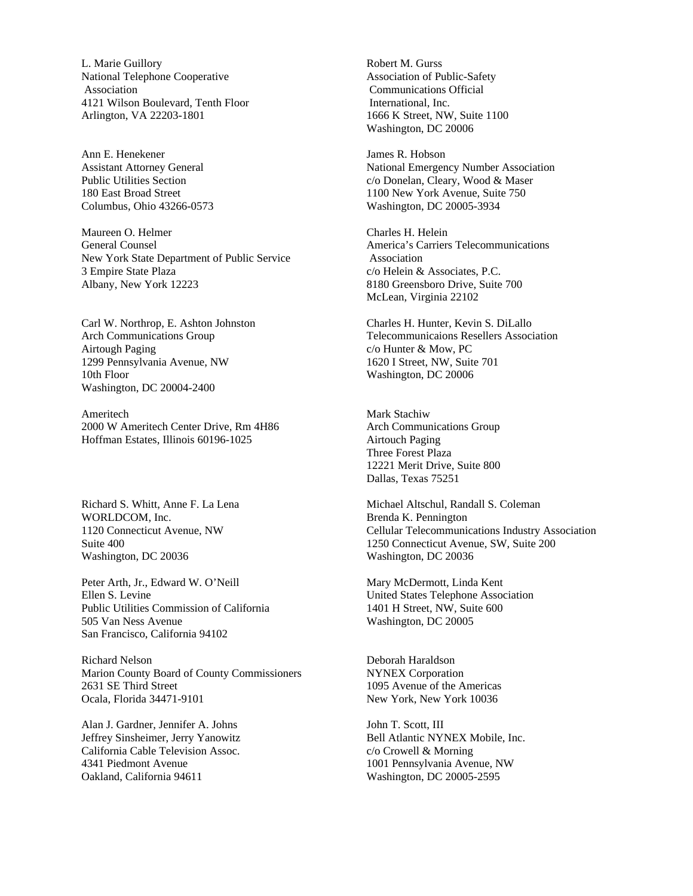L. Marie Guillory National Telephone Cooperative Association 4121 Wilson Boulevard, Tenth Floor Arlington, VA 22203-1801

Ann E. Henekener Assistant Attorney General Public Utilities Section 180 East Broad Street Columbus, Ohio 43266-0573

Maureen O. Helmer General Counsel New York State Department of Public Service 3 Empire State Plaza Albany, New York 12223

Carl W. Northrop, E. Ashton Johnston Arch Communications Group Airtough Paging 1299 Pennsylvania Avenue, NW 10th Floor Washington, DC 20004-2400

Ameritech 2000 W Ameritech Center Drive, Rm 4H86 Hoffman Estates, Illinois 60196-1025

Richard S. Whitt, Anne F. La Lena WORLDCOM, Inc. 1120 Connecticut Avenue, NW Suite 400 Washington, DC 20036

Peter Arth, Jr., Edward W. O'Neill Ellen S. Levine Public Utilities Commission of California 505 Van Ness Avenue San Francisco, California 94102

Richard Nelson Marion County Board of County Commissioners 2631 SE Third Street Ocala, Florida 34471-9101

Alan J. Gardner, Jennifer A. Johns Jeffrey Sinsheimer, Jerry Yanowitz California Cable Television Assoc. 4341 Piedmont Avenue Oakland, California 94611

Robert M. Gurss Association of Public-Safety Communications Official International, Inc. 1666 K Street, NW, Suite 1100 Washington, DC 20006

James R. Hobson National Emergency Number Association c/o Donelan, Cleary, Wood & Maser 1100 New York Avenue, Suite 750 Washington, DC 20005-3934

Charles H. Helein America's Carriers Telecommunications Association c/o Helein & Associates, P.C. 8180 Greensboro Drive, Suite 700 McLean, Virginia 22102

Charles H. Hunter, Kevin S. DiLallo Telecommunicaions Resellers Association c/o Hunter & Mow, PC 1620 I Street, NW, Suite 701 Washington, DC 20006

Mark Stachiw Arch Communications Group Airtouch Paging Three Forest Plaza 12221 Merit Drive, Suite 800 Dallas, Texas 75251

Michael Altschul, Randall S. Coleman Brenda K. Pennington Cellular Telecommunications Industry Association 1250 Connecticut Avenue, SW, Suite 200 Washington, DC 20036

Mary McDermott, Linda Kent United States Telephone Association 1401 H Street, NW, Suite 600 Washington, DC 20005

Deborah Haraldson NYNEX Corporation 1095 Avenue of the Americas New York, New York 10036

John T. Scott, III Bell Atlantic NYNEX Mobile, Inc. c/o Crowell & Morning 1001 Pennsylvania Avenue, NW Washington, DC 20005-2595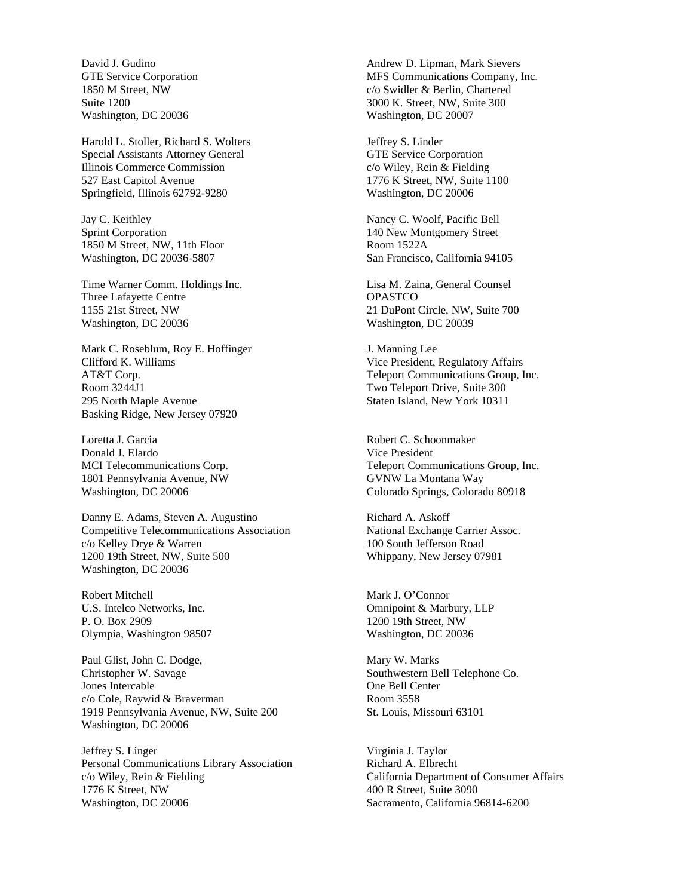David J. Gudino GTE Service Corporation 1850 M Street, NW Suite 1200 Washington, DC 20036

Harold L. Stoller, Richard S. Wolters Special Assistants Attorney General Illinois Commerce Commission 527 East Capitol Avenue Springfield, Illinois 62792-9280

Jay C. Keithley Sprint Corporation 1850 M Street, NW, 11th Floor Washington, DC 20036-5807

Time Warner Comm. Holdings Inc. Three Lafayette Centre 1155 21st Street, NW Washington, DC 20036

Mark C. Roseblum, Roy E. Hoffinger Clifford K. Williams AT&T Corp. Room 3244J1 295 North Maple Avenue Basking Ridge, New Jersey 07920

Loretta J. Garcia Donald J. Elardo MCI Telecommunications Corp. 1801 Pennsylvania Avenue, NW Washington, DC 20006

Danny E. Adams, Steven A. Augustino Competitive Telecommunications Association c/o Kelley Drye & Warren 1200 19th Street, NW, Suite 500 Washington, DC 20036

Robert Mitchell U.S. Intelco Networks, Inc. P. O. Box 2909 Olympia, Washington 98507

Paul Glist, John C. Dodge, Christopher W. Savage Jones Intercable c/o Cole, Raywid & Braverman 1919 Pennsylvania Avenue, NW, Suite 200 Washington, DC 20006

Jeffrey S. Linger Personal Communications Library Association c/o Wiley, Rein & Fielding 1776 K Street, NW Washington, DC 20006

Andrew D. Lipman, Mark Sievers MFS Communications Company, Inc. c/o Swidler & Berlin, Chartered 3000 K. Street, NW, Suite 300 Washington, DC 20007

Jeffrey S. Linder GTE Service Corporation c/o Wiley, Rein & Fielding 1776 K Street, NW, Suite 1100 Washington, DC 20006

Nancy C. Woolf, Pacific Bell 140 New Montgomery Street Room 1522A San Francisco, California 94105

Lisa M. Zaina, General Counsel **OPASTCO** 21 DuPont Circle, NW, Suite 700 Washington, DC 20039

J. Manning Lee Vice President, Regulatory Affairs Teleport Communications Group, Inc. Two Teleport Drive, Suite 300 Staten Island, New York 10311

Robert C. Schoonmaker Vice President Teleport Communications Group, Inc. GVNW La Montana Way Colorado Springs, Colorado 80918

Richard A. Askoff National Exchange Carrier Assoc. 100 South Jefferson Road Whippany, New Jersey 07981

Mark J. O'Connor Omnipoint & Marbury, LLP 1200 19th Street, NW Washington, DC 20036

Mary W. Marks Southwestern Bell Telephone Co. One Bell Center Room 3558 St. Louis, Missouri 63101

Virginia J. Taylor Richard A. Elbrecht California Department of Consumer Affairs 400 R Street, Suite 3090 Sacramento, California 96814-6200